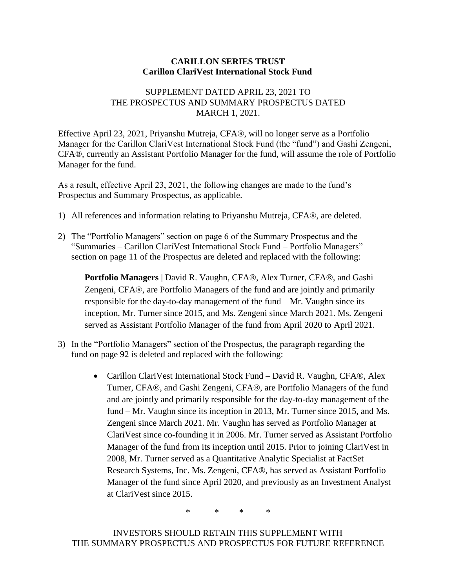## **CARILLON SERIES TRUST Carillon ClariVest International Stock Fund**

## SUPPLEMENT DATED APRIL 23, 2021 TO THE PROSPECTUS AND SUMMARY PROSPECTUS DATED MARCH 1, 2021.

Effective April 23, 2021, Priyanshu Mutreja, CFA®, will no longer serve as a Portfolio Manager for the Carillon ClariVest International Stock Fund (the "fund") and Gashi Zengeni, CFA®, currently an Assistant Portfolio Manager for the fund, will assume the role of Portfolio Manager for the fund.

As a result, effective April 23, 2021, the following changes are made to the fund's Prospectus and Summary Prospectus, as applicable.

- 1) All references and information relating to Priyanshu Mutreja, CFA®, are deleted.
- 2) The "Portfolio Managers" section on page 6 of the Summary Prospectus and the "Summaries – Carillon ClariVest International Stock Fund – Portfolio Managers" section on page 11 of the Prospectus are deleted and replaced with the following:

**Portfolio Managers** | David R. Vaughn, CFA®, Alex Turner, CFA®, and Gashi Zengeni, CFA®, are Portfolio Managers of the fund and are jointly and primarily responsible for the day-to-day management of the fund – Mr. Vaughn since its inception, Mr. Turner since 2015, and Ms. Zengeni since March 2021. Ms. Zengeni served as Assistant Portfolio Manager of the fund from April 2020 to April 2021.

- 3) In the "Portfolio Managers" section of the Prospectus, the paragraph regarding the fund on page 92 is deleted and replaced with the following:
	- Carillon ClariVest International Stock Fund David R. Vaughn, CFA®, Alex Turner, CFA®, and Gashi Zengeni, CFA®, are Portfolio Managers of the fund and are jointly and primarily responsible for the day-to-day management of the fund – Mr. Vaughn since its inception in 2013, Mr. Turner since 2015, and Ms. Zengeni since March 2021. Mr. Vaughn has served as Portfolio Manager at ClariVest since co-founding it in 2006. Mr. Turner served as Assistant Portfolio Manager of the fund from its inception until 2015. Prior to joining ClariVest in 2008, Mr. Turner served as a Quantitative Analytic Specialist at FactSet Research Systems, Inc. Ms. Zengeni, CFA®, has served as Assistant Portfolio Manager of the fund since April 2020, and previously as an Investment Analyst at ClariVest since 2015.

\* \* \* \*

INVESTORS SHOULD RETAIN THIS SUPPLEMENT WITH THE SUMMARY PROSPECTUS AND PROSPECTUS FOR FUTURE REFERENCE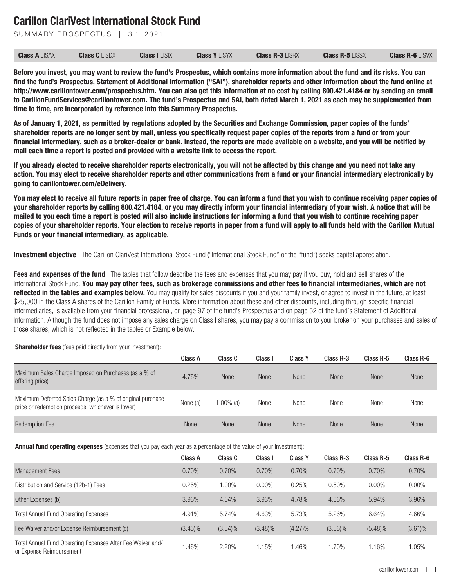SUMMARY PROSPECTUS | 3.1.2021

| <b>Class A EISAX</b> | <b>Class C EISDX</b> | <b>Class I EISIX</b> | <b>Class Y EISYX</b> | <b>Class R-3 EISRX</b> | <b>Class R-5 EISSX</b> | <b>Class R-6 EISVX</b> |
|----------------------|----------------------|----------------------|----------------------|------------------------|------------------------|------------------------|
|                      |                      |                      |                      |                        |                        |                        |

**Before you invest, you may want to review the fund's Prospectus, which contains more information about the fund and its risks. You can find the fund's Prospectus, Statement of Additional Information ("SAI"), shareholder reports and other information about the fund online at http://www.carillontower.com/prospectus.htm. You can also get this information at no cost by calling 800.421.4184 or by sending an email to CarillonFundServices@carillontower.com. The fund's Prospectus and SAI, both dated March 1, 2021 as each may be supplemented from time to time, are incorporated by reference into this Summary Prospectus.**

**As of January 1, 2021, as permitted by regulations adopted by the Securities and Exchange Commission, paper copies of the funds' shareholder reports are no longer sent by mail, unless you specifically request paper copies of the reports from a fund or from your financial intermediary, such as a broker-dealer or bank. Instead, the reports are made available on a website, and you will be notified by mail each time a report is posted and provided with a website link to access the report.**

**If you already elected to receive shareholder reports electronically, you will not be affected by this change and you need not take any action. You may elect to receive shareholder reports and other communications from a fund or your financial intermediary electronically by going to carillontower.com/eDelivery.**

**You may elect to receive all future reports in paper free of charge. You can inform a fund that you wish to continue receiving paper copies of your shareholder reports by calling 800.421.4184, or you may directly inform your financial intermediary of your wish. A notice that will be mailed to you each time a report is posted will also include instructions for informing a fund that you wish to continue receiving paper copies of your shareholder reports. Your election to receive reports in paper from a fund will apply to all funds held with the Carillon Mutual Funds or your financial intermediary, as applicable.**

**Investment objective** I The Carillon ClariVest International Stock Fund ("International Stock Fund" or the "fund") seeks capital appreciation.

**Fees and expenses of the fund** I The tables that follow describe the fees and expenses that you may pay if you buy, hold and sell shares of the International Stock Fund. **You may pay other fees, such as brokerage commissions and other fees to financial intermediaries, which are not reflected in the tables and examples below.** You may qualify for sales discounts if you and your family invest, or agree to invest in the future, at least \$25,000 in the Class A shares of the Carillon Family of Funds. More information about these and other discounts, including through specific financial intermediaries, is available from your financial professional, on page 97 of the fund's Prospectus and on page 52 of the fund's Statement of Additional Information. Although the fund does not impose any sales charge on Class I shares, you may pay a commission to your broker on your purchases and sales of those shares, which is not reflected in the tables or Example below.

#### **Shareholder fees** (fees paid directly from your investment):

|                                                                                                                 | Class A     | Class C      | Class I     | <b>Class Y</b> | Class R-3   | Class R-5   | Class R-6   |
|-----------------------------------------------------------------------------------------------------------------|-------------|--------------|-------------|----------------|-------------|-------------|-------------|
| Maximum Sales Charge Imposed on Purchases (as a % of<br>offering price)                                         | 4.75%       | None         | None        | None           | <b>None</b> | <b>None</b> | <b>None</b> |
| Maximum Deferred Sales Charge (as a % of original purchase<br>price or redemption proceeds, whichever is lower) | None (a)    | $1.00\%$ (a) | None        | None           | None        | None        | None        |
| <b>Redemption Fee</b>                                                                                           | <b>None</b> | None         | <b>None</b> | None           | <b>None</b> | None        | <b>None</b> |

**Annual fund operating expenses** (expenses that you pay each year as a percentage of the value of your investment):

|                                                                                        | Class A    | Class C    | Class I    | <b>Class Y</b> | Class R-3  | Class R-5  | Class R-6  |
|----------------------------------------------------------------------------------------|------------|------------|------------|----------------|------------|------------|------------|
| <b>Management Fees</b>                                                                 | 0.70%      | 0.70%      | 0.70%      | 0.70%          | 0.70%      | 0.70%      | 0.70%      |
| Distribution and Service (12b-1) Fees                                                  | 0.25%      | $0.00\%$   | $0.00\%$   | 0.25%          | 0.50%      | $0.00\%$   | 0.00%      |
| Other Expenses (b)                                                                     | 3.96%      | 4.04%      | 3.93%      | 4.78%          | 4.06%      | 5.94%      | 3.96%      |
| <b>Total Annual Fund Operating Expenses</b>                                            | 4.91%      | 5.74%      | 4.63%      | 5.73%          | 5.26%      | 6.64%      | 4.66%      |
| Fee Waiver and/or Expense Reimbursement (c)                                            | $(3.45)\%$ | $(3.54)\%$ | $(3.48)\%$ | $(4.27)\%$     | $(3.56)\%$ | $(5.48)\%$ | $(3.61)\%$ |
| Total Annual Fund Operating Expenses After Fee Waiver and/<br>or Expense Reimbursement | .46%       | 2.20%      | 1.15%      | 1.46%          | 1.70%      | 1.16%      | 1.05%      |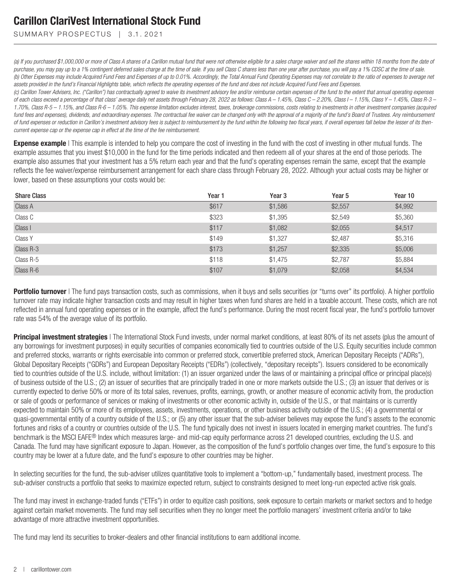SUMMARY PROSPECTUS | 3.1.2021

*(a) If you purchased \$1,000,000 or more of Class A shares of a Carillon mutual fund that were not otherwise eligible for a sales charge waiver and sell the shares within 18 months from the date of purchase, you may pay up to a 1% contingent deferred sales charge at the time of sale. If you sell Class C shares less than one year after purchase, you will pay a 1% CDSC at the time of sale. (b) Other Expenses may include Acquired Fund Fees and Expenses of up to 0.01%. Accordingly, the Total Annual Fund Operating Expenses may not correlate to the ratio of expenses to average net assets provided in the fund's Financial Highlights table, which reflects the operating expenses of the fund and does not include Acquired Fund Fees and Expenses.*

*(c) Carillon Tower Advisers, Inc. ("Carillon") has contractually agreed to waive its investment advisory fee and/or reimburse certain expenses of the fund to the extent that annual operating expenses of each class exceed a percentage of that class' average daily net assets through February 28, 2022 as follows: Class A – 1.45%, Class C – 2.20%, Class I – 1.15%, Class Y – 1.45%, Class R-3 – 1.70%, Class R-5 – 1.15%, and Class R-6 – 1.05%. This expense limitation excludes interest, taxes, brokerage commissions, costs relating to investments in other investment companies (acquired fund fees and expenses), dividends, and extraordinary expenses. The contractual fee waiver can be changed only with the approval of a majority of the fund's Board of Trustees. Any reimbursement* of fund expenses or reduction in Carillon's investment advisory fees is subject to reimbursement by the fund within the following two fiscal years, if overall expenses fall below the lesser of its then*current expense cap or the expense cap in effect at the time of the fee reimbursement.*

**Expense example** | This example is intended to help you compare the cost of investing in the fund with the cost of investing in other mutual funds. The example assumes that you invest \$10,000 in the fund for the time periods indicated and then redeem all of your shares at the end of those periods. The example also assumes that your investment has a 5% return each year and that the fund's operating expenses remain the same, except that the example reflects the fee waiver/expense reimbursement arrangement for each share class through February 28, 2022. Although your actual costs may be higher or lower, based on these assumptions your costs would be:

| <b>Share Class</b> | Year 1 | Year <sub>3</sub> | Year 5  | Year 10 |
|--------------------|--------|-------------------|---------|---------|
| Class A            | \$617  | \$1,586           | \$2,557 | \$4,992 |
| Class C            | \$323  | \$1,395           | \$2,549 | \$5,360 |
| Class I            | \$117  | \$1,082           | \$2,055 | \$4,517 |
| Class Y            | \$149  | \$1,327           | \$2,487 | \$5,316 |
| Class R-3          | \$173  | \$1,257           | \$2,335 | \$5,006 |
| Class R-5          | \$118  | \$1,475           | \$2,787 | \$5,884 |
| Class R-6          | \$107  | \$1,079           | \$2,058 | \$4,534 |

**Portfolio turnover** | The fund pays transaction costs, such as commissions, when it buys and sells securities (or "turns over" its portfolio). A higher portfolio turnover rate may indicate higher transaction costs and may result in higher taxes when fund shares are held in a taxable account. These costs, which are not reflected in annual fund operating expenses or in the example, affect the fund's performance. During the most recent fiscal year, the fund's portfolio turnover rate was 54% of the average value of its portfolio.

**Principal investment strategies** I The International Stock Fund invests, under normal market conditions, at least 80% of its net assets (plus the amount of any borrowings for investment purposes) in equity securities of companies economically tied to countries outside of the U.S. Equity securities include common and preferred stocks, warrants or rights exercisable into common or preferred stock, convertible preferred stock, American Depositary Receipts ("ADRs"), Global Depositary Receipts ("GDRs") and European Depositary Receipts ("EDRs") (collectively, "depositary receipts"). Issuers considered to be economically tied to countries outside of the U.S. include, without limitation: (1) an issuer organized under the laws of or maintaining a principal office or principal place(s) of business outside of the U.S.; (2) an issuer of securities that are principally traded in one or more markets outside the U.S.; (3) an issuer that derives or is currently expected to derive 50% or more of its total sales, revenues, profits, earnings, growth, or another measure of economic activity from, the production or sale of goods or performance of services or making of investments or other economic activity in, outside of the U.S., or that maintains or is currently expected to maintain 50% or more of its employees, assets, investments, operations, or other business activity outside of the U.S.; (4) a governmental or quasi-governmental entity of a country outside of the U.S.; or (5) any other issuer that the sub-adviser believes may expose the fund's assets to the economic fortunes and risks of a country or countries outside of the U.S. The fund typically does not invest in issuers located in emerging market countries. The fund's benchmark is the MSCI EAFE® Index which measures large- and mid-cap equity performance across 21 developed countries, excluding the U.S. and Canada. The fund may have significant exposure to Japan. However, as the composition of the fund's portfolio changes over time, the fund's exposure to this country may be lower at a future date, and the fund's exposure to other countries may be higher.

In selecting securities for the fund, the sub-adviser utilizes quantitative tools to implement a "bottom-up," fundamentally based, investment process. The sub-adviser constructs a portfolio that seeks to maximize expected return, subject to constraints designed to meet long-run expected active risk goals.

The fund may invest in exchange-traded funds ("ETFs") in order to equitize cash positions, seek exposure to certain markets or market sectors and to hedge against certain market movements. The fund may sell securities when they no longer meet the portfolio managers' investment criteria and/or to take advantage of more attractive investment opportunities.

The fund may lend its securities to broker-dealers and other financial institutions to earn additional income.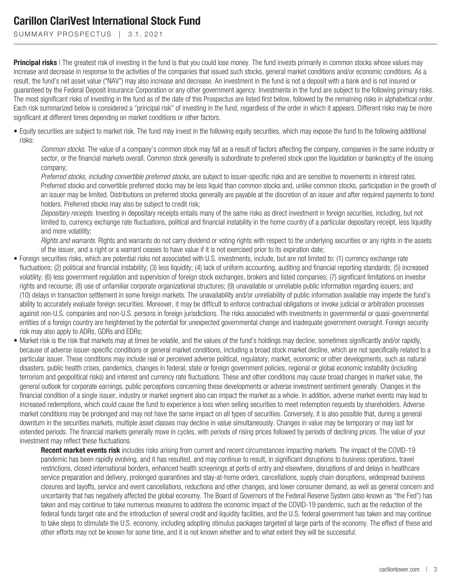SUMMARY PROSPECTUS | 3.1.2021

**Principal risks** | The greatest risk of investing in the fund is that you could lose money. The fund invests primarily in common stocks whose values may increase and decrease in response to the activities of the companies that issued such stocks, general market conditions and/or economic conditions. As a result, the fund's net asset value ("NAV") may also increase and decrease. An investment in the fund is not a deposit with a bank and is not insured or guaranteed by the Federal Deposit Insurance Corporation or any other government agency. Investments in the fund are subject to the following primary risks. The most significant risks of investing in the fund as of the date of this Prospectus are listed first below, followed by the remaining risks in alphabetical order. Each risk summarized below is considered a "principal risk" of investing in the fund, regardless of the order in which it appears. Different risks may be more significant at different times depending on market conditions or other factors.

• Equity securities are subject to market risk. The fund may invest in the following equity securities, which may expose the fund to the following additional risks:

*Common stocks*. The value of a company's common stock may fall as a result of factors affecting the company, companies in the same industry or sector, or the financial markets overall. Common stock generally is subordinate to preferred stock upon the liquidation or bankruptcy of the issuing company;

*Preferred stocks, including convertible preferred stocks,* are subject to issuer-specific risks and are sensitive to movements in interest rates. Preferred stocks and convertible preferred stocks may be less liquid than common stocks and, unlike common stocks, participation in the growth of an issuer may be limited. Distributions on preferred stocks generally are payable at the discretion of an issuer and after required payments to bond holders. Preferred stocks may also be subject to credit risk;

*Depositary receipts*. Investing in depositary receipts entails many of the same risks as direct investment in foreign securities, including, but not limited to, currency exchange rate fluctuations, political and financial instability in the home country of a particular depositary receipt, less liquidity and more volatility;

*Rights and warrants*. Rights and warrants do not carry dividend or voting rights with respect to the underlying securities or any rights in the assets of the issuer, and a right or a warrant ceases to have value if it is not exercised prior to its expiration date;

- Foreign securities risks, which are potential risks not associated with U.S. investments, include, but are not limited to: (1) currency exchange rate fluctuations; (2) political and financial instability; (3) less liquidity; (4) lack of uniform accounting, auditing and financial reporting standards; (5) increased volatility; (6) less government regulation and supervision of foreign stock exchanges, brokers and listed companies; (7) significant limitations on investor rights and recourse; (8) use of unfamiliar corporate organizational structures; (9) unavailable or unreliable public information regarding issuers; and (10) delays in transaction settlement in some foreign markets. The unavailability and/or unreliability of public information available may impede the fund's ability to accurately evaluate foreign securities. Moreover, it may be difficult to enforce contractual obligations or invoke judicial or arbitration processes against non-U.S. companies and non-U.S. persons in foreign jurisdictions. The risks associated with investments in governmental or quasi-governmental entities of a foreign country are heightened by the potential for unexpected governmental change and inadequate government oversight. Foreign security risk may also apply to ADRs, GDRs and EDRs;
- Market risk is the risk that markets may at times be volatile, and the values of the fund's holdings may decline, sometimes significantly and/or rapidly, because of adverse issuer-specific conditions or general market conditions, including a broad stock market decline, which are not specifically related to a particular issuer. These conditions may include real or perceived adverse political, regulatory, market, economic or other developments, such as natural disasters, public health crises, pandemics, changes in federal, state or foreign government policies, regional or global economic instability (including terrorism and geopolitical risks) and interest and currency rate fluctuations. These and other conditions may cause broad changes in market value, the general outlook for corporate earnings, public perceptions concerning these developments or adverse investment sentiment generally. Changes in the financial condition of a single issuer, industry or market segment also can impact the market as a whole. In addition, adverse market events may lead to increased redemptions, which could cause the fund to experience a loss when selling securities to meet redemption requests by shareholders. Adverse market conditions may be prolonged and may not have the same impact on all types of securities. Conversely, it is also possible that, during a general downturn in the securities markets, multiple asset classes may decline in value simultaneously. Changes in value may be temporary or may last for extended periods. The financial markets generally move in cycles, with periods of rising prices followed by periods of declining prices. The value of your investment may reflect these fluctuations.

**Recent market events risk** includes risks arising from current and recent circumstances impacting markets. The impact of the COVID-19 pandemic has been rapidly evolving, and it has resulted, and may continue to result, in significant disruptions to business operations, travel restrictions, closed international borders, enhanced health screenings at ports of entry and elsewhere, disruptions of and delays in healthcare service preparation and delivery, prolonged quarantines and stay-at-home orders, cancellations, supply chain disruptions, widespread business closures and layoffs, service and event cancellations, reductions and other changes, and lower consumer demand, as well as general concern and uncertainty that has negatively affected the global economy. The Board of Governors of the Federal Reserve System (also known as "the Fed") has taken and may continue to take numerous measures to address the economic impact of the COVID-19 pandemic, such as the reduction of the federal funds target rate and the introduction of several credit and liquidity facilities, and the U.S. federal government has taken and may continue to take steps to stimulate the U.S. economy, including adopting stimulus packages targeted at large parts of the economy. The effect of these and other efforts may not be known for some time, and it is not known whether and to what extent they will be successful.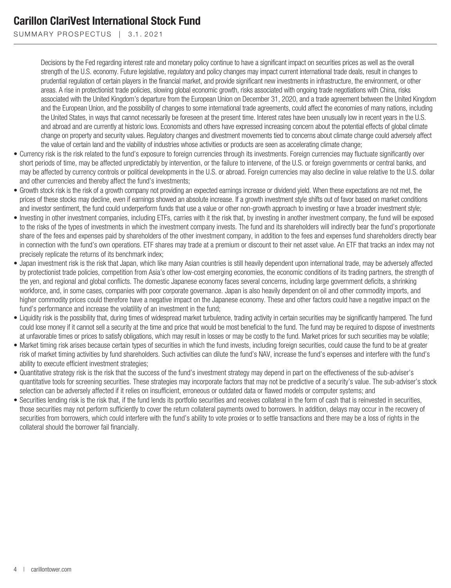SUMMARY PROSPECTUS | 3.1.2021

Decisions by the Fed regarding interest rate and monetary policy continue to have a significant impact on securities prices as well as the overall strength of the U.S. economy. Future legislative, regulatory and policy changes may impact current international trade deals, result in changes to prudential regulation of certain players in the financial market, and provide significant new investments in infrastructure, the environment, or other areas. A rise in protectionist trade policies, slowing global economic growth, risks associated with ongoing trade negotiations with China, risks associated with the United Kingdom's departure from the European Union on December 31, 2020, and a trade agreement between the United Kingdom and the European Union, and the possibility of changes to some international trade agreements, could affect the economies of many nations, including the United States, in ways that cannot necessarily be foreseen at the present time. Interest rates have been unusually low in recent years in the U.S. and abroad and are currently at historic lows. Economists and others have expressed increasing concern about the potential effects of global climate change on property and security values. Regulatory changes and divestment movements tied to concerns about climate change could adversely affect the value of certain land and the viability of industries whose activities or products are seen as accelerating climate change;

- Currency risk is the risk related to the fund's exposure to foreign currencies through its investments. Foreign currencies may fluctuate significantly over short periods of time, may be affected unpredictably by intervention, or the failure to intervene, of the U.S. or foreign governments or central banks, and may be affected by currency controls or political developments in the U.S. or abroad. Foreign currencies may also decline in value relative to the U.S. dollar and other currencies and thereby affect the fund's investments;
- Growth stock risk is the risk of a growth company not providing an expected earnings increase or dividend yield. When these expectations are not met, the prices of these stocks may decline, even if earnings showed an absolute increase. If a growth investment style shifts out of favor based on market conditions and investor sentiment, the fund could underperform funds that use a value or other non-growth approach to investing or have a broader investment style;
- Investing in other investment companies, including ETFs, carries with it the risk that, by investing in another investment company, the fund will be exposed to the risks of the types of investments in which the investment company invests. The fund and its shareholders will indirectly bear the fund's proportionate share of the fees and expenses paid by shareholders of the other investment company, in addition to the fees and expenses fund shareholders directly bear in connection with the fund's own operations. ETF shares may trade at a premium or discount to their net asset value. An ETF that tracks an index may not precisely replicate the returns of its benchmark index;
- Japan investment risk is the risk that Japan, which like many Asian countries is still heavily dependent upon international trade, may be adversely affected by protectionist trade policies, competition from Asia's other low-cost emerging economies, the economic conditions of its trading partners, the strength of the yen, and regional and global conflicts. The domestic Japanese economy faces several concerns, including large government deficits, a shrinking workforce, and, in some cases, companies with poor corporate governance. Japan is also heavily dependent on oil and other commodity imports, and higher commodity prices could therefore have a negative impact on the Japanese economy. These and other factors could have a negative impact on the fund's performance and increase the volatility of an investment in the fund;
- Liquidity risk is the possibility that, during times of widespread market turbulence, trading activity in certain securities may be significantly hampered. The fund could lose money if it cannot sell a security at the time and price that would be most beneficial to the fund. The fund may be required to dispose of investments at unfavorable times or prices to satisfy obligations, which may result in losses or may be costly to the fund. Market prices for such securities may be volatile;
- Market timing risk arises because certain types of securities in which the fund invests, including foreign securities, could cause the fund to be at greater risk of market timing activities by fund shareholders. Such activities can dilute the fund's NAV, increase the fund's expenses and interfere with the fund's ability to execute efficient investment strategies;
- Quantitative strategy risk is the risk that the success of the fund's investment strategy may depend in part on the effectiveness of the sub-adviser's quantitative tools for screening securities. These strategies may incorporate factors that may not be predictive of a security's value. The sub-adviser's stock selection can be adversely affected if it relies on insufficient, erroneous or outdated data or flawed models or computer systems; and
- Securities lending risk is the risk that, if the fund lends its portfolio securities and receives collateral in the form of cash that is reinvested in securities, those securities may not perform sufficiently to cover the return collateral payments owed to borrowers. In addition, delays may occur in the recovery of securities from borrowers, which could interfere with the fund's ability to vote proxies or to settle transactions and there may be a loss of rights in the collateral should the borrower fail financially.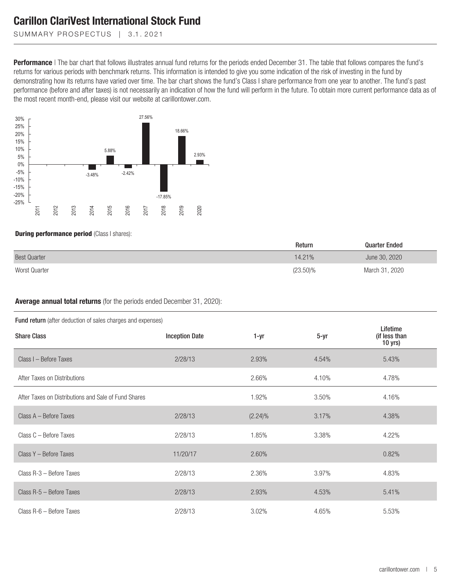SUMMARY PROSPECTUS | 3.1.2021

**Performance** | The bar chart that follows illustrates annual fund returns for the periods ended December 31. The table that follows compares the fund's returns for various periods with benchmark returns. This information is intended to give you some indication of the risk of investing in the fund by demonstrating how its returns have varied over time. The bar chart shows the fund's Class I share performance from one year to another. The fund's past performance (before and after taxes) is not necessarily an indication of how the fund will perform in the future. To obtain more current performance data as of the most recent month-end, please visit our website at carillontower.com.



**During performance period** (Class I shares):

|                     | Return   | <b>Quarter Ended</b> |  |
|---------------------|----------|----------------------|--|
| <b>Best Quarter</b> | 14.21%   | June 30, 2020        |  |
| Worst Quarter       | (23.50)% | March 31, 2020       |  |

**Average annual total returns** (for the periods ended December 31, 2020):

|  |  |  | Fund return (after deduction of sales charges and expenses) |  |  |  |  |  |  |
|--|--|--|-------------------------------------------------------------|--|--|--|--|--|--|
|--|--|--|-------------------------------------------------------------|--|--|--|--|--|--|

| <b>I alla retarn</b> (alter deduction or sales charges and expenses) |                       |            |          |                                        |  |  |  |  |
|----------------------------------------------------------------------|-----------------------|------------|----------|----------------------------------------|--|--|--|--|
| <b>Share Class</b>                                                   | <b>Inception Date</b> | 1-yr       | $5 - yr$ | Lifetime<br>(if less than<br>$10$ yrs) |  |  |  |  |
| Class I - Before Taxes                                               | 2/28/13               | 2.93%      | 4.54%    | 5.43%                                  |  |  |  |  |
| After Taxes on Distributions                                         |                       | 2.66%      | 4.10%    | 4.78%                                  |  |  |  |  |
| After Taxes on Distributions and Sale of Fund Shares                 |                       | 1.92%      | 3.50%    | 4.16%                                  |  |  |  |  |
| Class A - Before Taxes                                               | 2/28/13               | $(2.24)\%$ | 3.17%    | 4.38%                                  |  |  |  |  |
| Class C - Before Taxes                                               | 2/28/13               | 1.85%      | 3.38%    | 4.22%                                  |  |  |  |  |
| Class Y - Before Taxes                                               | 11/20/17              | 2.60%      |          | 0.82%                                  |  |  |  |  |
| Class R-3 - Before Taxes                                             | 2/28/13               | 2.36%      | 3.97%    | 4.83%                                  |  |  |  |  |
| Class R-5 - Before Taxes                                             | 2/28/13               | 2.93%      | 4.53%    | 5.41%                                  |  |  |  |  |
| Class R-6 - Before Taxes                                             | 2/28/13               | 3.02%      | 4.65%    | 5.53%                                  |  |  |  |  |